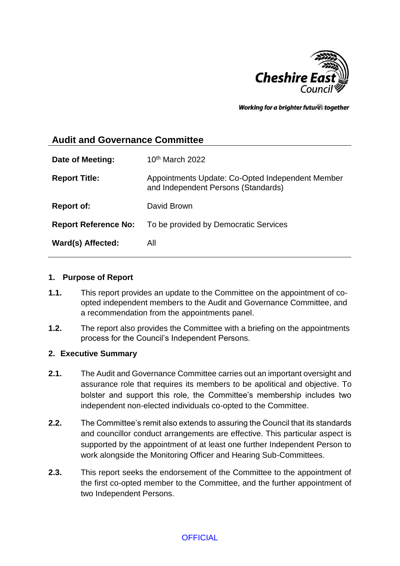

Working for a brighter futures together

# **Audit and Governance Committee**

| Date of Meeting:            | $10th$ March 2022                                                                       |
|-----------------------------|-----------------------------------------------------------------------------------------|
| <b>Report Title:</b>        | Appointments Update: Co-Opted Independent Member<br>and Independent Persons (Standards) |
| <b>Report of:</b>           | David Brown                                                                             |
| <b>Report Reference No:</b> | To be provided by Democratic Services                                                   |
| Ward(s) Affected:           | All                                                                                     |

#### **1. Purpose of Report**

- **1.1.** This report provides an update to the Committee on the appointment of coopted independent members to the Audit and Governance Committee, and a recommendation from the appointments panel.
- **1.2.** The report also provides the Committee with a briefing on the appointments process for the Council's Independent Persons.

### **2. Executive Summary**

- **2.1.** The Audit and Governance Committee carries out an important oversight and assurance role that requires its members to be apolitical and objective. To bolster and support this role, the Committee's membership includes two independent non-elected individuals co-opted to the Committee.
- **2.2.** The Committee's remit also extends to assuring the Council that its standards and councillor conduct arrangements are effective. This particular aspect is supported by the appointment of at least one further Independent Person to work alongside the Monitoring Officer and Hearing Sub-Committees.
- **2.3.** This report seeks the endorsement of the Committee to the appointment of the first co-opted member to the Committee, and the further appointment of two Independent Persons.

### **OFFICIAL**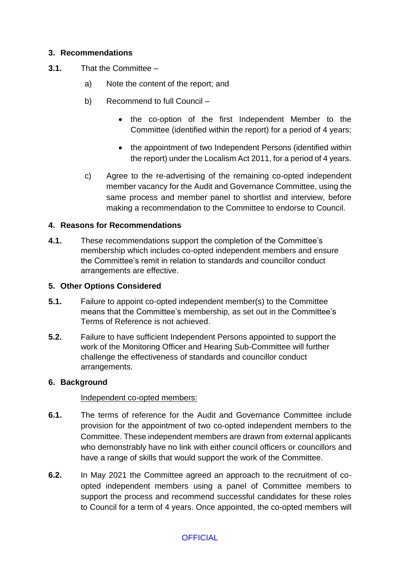## **3. Recommendations**

- **3.1.** That the Committee
	- a) Note the content of the report; and
	- b) Recommend to full Council
		- the co-option of the first Independent Member to the Committee (identified within the report) for a period of 4 years;
		- the appointment of two Independent Persons (identified within the report) under the Localism Act 2011, for a period of 4 years.
	- c) Agree to the re-advertising of the remaining co-opted independent member vacancy for the Audit and Governance Committee, using the same process and member panel to shortlist and interview, before making a recommendation to the Committee to endorse to Council.

### **4. Reasons for Recommendations**

**4.1.** These recommendations support the completion of the Committee's membership which includes co-opted independent members and ensure the Committee's remit in relation to standards and councillor conduct arrangements are effective.

### **5. Other Options Considered**

- **5.1.** Failure to appoint co-opted independent member(s) to the Committee means that the Committee's membership, as set out in the Committee's Terms of Reference is not achieved.
- **5.2.** Failure to have sufficient Independent Persons appointed to support the work of the Monitoring Officer and Hearing Sub-Committee will further challenge the effectiveness of standards and councillor conduct arrangements.

### **6. Background**

### Independent co-opted members:

- **6.1.** The terms of reference for the Audit and Governance Committee include provision for the appointment of two co-opted independent members to the Committee. These independent members are drawn from external applicants who demonstrably have no link with either council officers or councillors and have a range of skills that would support the work of the Committee.
- **6.2.** In May 2021 the Committee agreed an approach to the recruitment of coopted independent members using a panel of Committee members to support the process and recommend successful candidates for these roles to Council for a term of 4 years. Once appointed, the co-opted members will

## **OFFICIAL**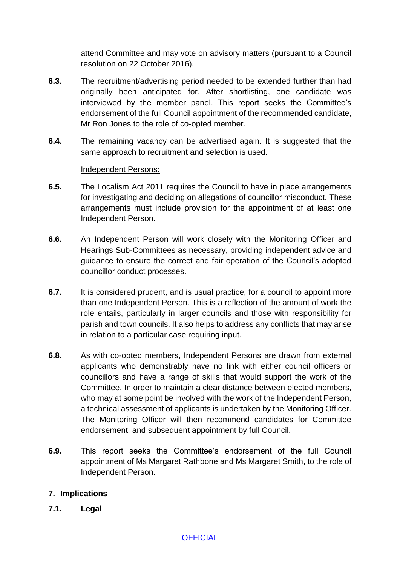attend Committee and may vote on advisory matters (pursuant to a Council resolution on 22 October 2016).

- **6.3.** The recruitment/advertising period needed to be extended further than had originally been anticipated for. After shortlisting, one candidate was interviewed by the member panel. This report seeks the Committee's endorsement of the full Council appointment of the recommended candidate, Mr Ron Jones to the role of co-opted member.
- **6.4.** The remaining vacancy can be advertised again. It is suggested that the same approach to recruitment and selection is used.

### Independent Persons:

- **6.5.** The Localism Act 2011 requires the Council to have in place arrangements for investigating and deciding on allegations of councillor misconduct. These arrangements must include provision for the appointment of at least one Independent Person.
- **6.6.** An Independent Person will work closely with the Monitoring Officer and Hearings Sub-Committees as necessary, providing independent advice and guidance to ensure the correct and fair operation of the Council's adopted councillor conduct processes.
- **6.7.** It is considered prudent, and is usual practice, for a council to appoint more than one Independent Person. This is a reflection of the amount of work the role entails, particularly in larger councils and those with responsibility for parish and town councils. It also helps to address any conflicts that may arise in relation to a particular case requiring input.
- **6.8.** As with co-opted members, Independent Persons are drawn from external applicants who demonstrably have no link with either council officers or councillors and have a range of skills that would support the work of the Committee. In order to maintain a clear distance between elected members, who may at some point be involved with the work of the Independent Person, a technical assessment of applicants is undertaken by the Monitoring Officer. The Monitoring Officer will then recommend candidates for Committee endorsement, and subsequent appointment by full Council.
- **6.9.** This report seeks the Committee's endorsement of the full Council appointment of Ms Margaret Rathbone and Ms Margaret Smith, to the role of Independent Person.

## **7. Implications**

**7.1. Legal**